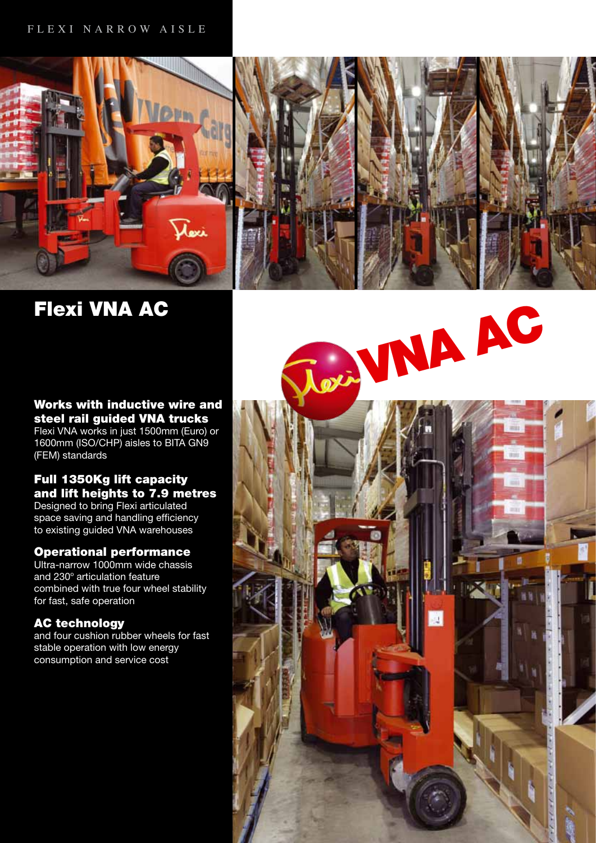

Flexi VNA AC

### Works with inductive wire and steel rail guided VNA trucks

Flexi VNA works in just 1500mm (Euro) or 1600mm (ISO/CHP) aisles to BITA GN9 (FEM) standards

# Full 1350Kg lift capacity and lift heights to 7.9 metres

Designed to bring Flexi articulated space saving and handling efficiency to existing guided VNA warehouses

# Operational performance

Ultra-narrow 1000mm wide chassis and 230° articulation feature combined with true four wheel stability for fast, safe operation

# AC technology

and four cushion rubber wheels for fast stable operation with low energy consumption and service cost